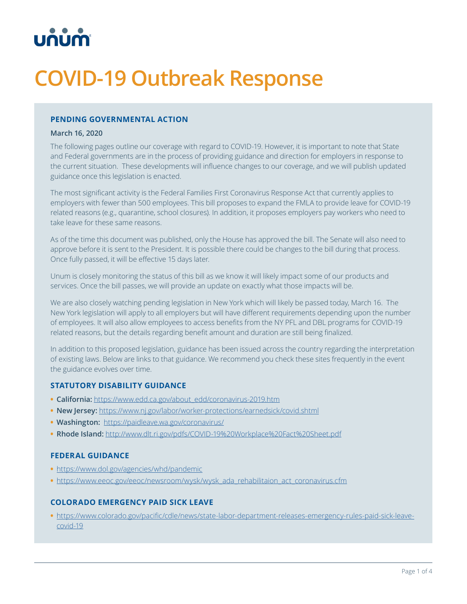

# **COVID-19 Outbreak Response**

## **PENDING GOVERNMENTAL ACTION**

#### **March 16, 2020**

The following pages outline our coverage with regard to COVID-19. However, it is important to note that State and Federal governments are in the process of providing guidance and direction for employers in response to the current situation. These developments will influence changes to our coverage, and we will publish updated guidance once this legislation is enacted.

The most significant activity is the Federal Families First Coronavirus Response Act that currently applies to employers with fewer than 500 employees. This bill proposes to expand the FMLA to provide leave for COVID-19 related reasons (e.g., quarantine, school closures). In addition, it proposes employers pay workers who need to take leave for these same reasons.

As of the time this document was published, only the House has approved the bill. The Senate will also need to approve before it is sent to the President. It is possible there could be changes to the bill during that process. Once fully passed, it will be effective 15 days later.

Unum is closely monitoring the status of this bill as we know it will likely impact some of our products and services. Once the bill passes, we will provide an update on exactly what those impacts will be.

We are also closely watching pending legislation in New York which will likely be passed today, March 16. The New York legislation will apply to all employers but will have different requirements depending upon the number of employees. It will also allow employees to access benefits from the NY PFL and DBL programs for COVID-19 related reasons, but the details regarding benefit amount and duration are still being finalized.

In addition to this proposed legislation, guidance has been issued across the country regarding the interpretation of existing laws. Below are links to that guidance. We recommend you check these sites frequently in the event the guidance evolves over time.

#### **STATUTORY DISABILITY GUIDANCE**

- **• California:** [https://www.edd.ca.gov/about\\_edd/coronavirus-2019.htm](https://www.edd.ca.gov/about_edd/coronavirus-2019.htm)
- **• New Jersey:** [https://www.nj.gov/labor/worker-protections/earnedsick/covid.shtml](https://www.nj.gov/labor/worker-protections/earnedsick/covid.shtml )
- **• Washington:** <https://paidleave.wa.gov/coronavirus/>
- **• Rhode Island:** [http://www.dlt.ri.gov/pdfs/COVID-19%20Workplace%20Fact%20Sheet.pdf](http://www.dlt.ri.gov/pdfs/COVID-19%20Workplace%20Fact%20Sheet.pdf )

#### **FEDERAL GUIDANCE**

- **•** [https://www.dol.gov/agencies/whd/pandemic](https://www.dol.gov/agencies/whd/pandemic )
- [https://www.eeoc.gov/eeoc/newsroom/wysk/wysk\\_ada\\_rehabilitaion\\_act\\_coronavirus.cfm](https://www.eeoc.gov/eeoc/newsroom/wysk/wysk_ada_rehabilitaion_act_coronavirus.cfm)

## **COLORADO EMERGENCY PAID SICK LEAVE**

**•** [https://www.colorado.gov/pacific/cdle/news/state-labor-department-releases-emergency-rules-paid-sick-leave](https://www.colorado.gov/pacific/cdle/news/state-labor-department-releases-emergency-rules-paid-sick)[covid-19](https://www.colorado.gov/pacific/cdle/news/state-labor-department-releases-emergency-rules-paid-sick)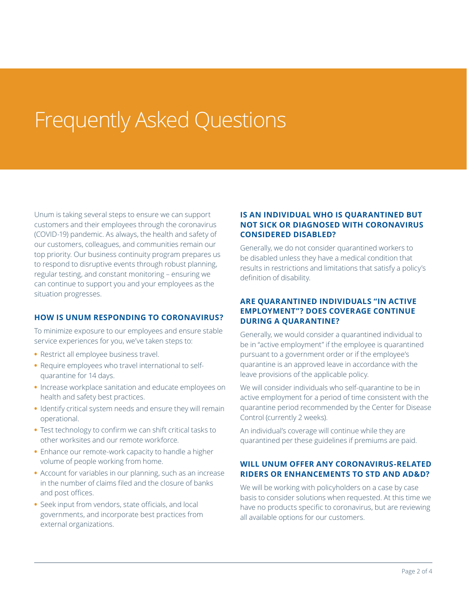# Frequently Asked Questions

Unum is taking several steps to ensure we can support customers and their employees through the coronavirus (COVID-19) pandemic. As always, the health and safety of our customers, colleagues, and communities remain our top priority. Our business continuity program prepares us to respond to disruptive events through robust planning, regular testing, and constant monitoring – ensuring we can continue to support you and your employees as the situation progresses.

#### **HOW IS UNUM RESPONDING TO CORONAVIRUS?**

To minimize exposure to our employees and ensure stable service experiences for you, we've taken steps to:

- **•** Restrict all employee business travel.
- **•** Require employees who travel international to selfquarantine for 14 days.
- **•** Increase workplace sanitation and educate employees on health and safety best practices.
- **•** Identify critical system needs and ensure they will remain operational.
- **•** Test technology to confirm we can shift critical tasks to other worksites and our remote workforce.
- **•** Enhance our remote-work capacity to handle a higher volume of people working from home.
- **•** Account for variables in our planning, such as an increase in the number of claims filed and the closure of banks and post offices.
- **•** Seek input from vendors, state officials, and local governments, and incorporate best practices from external organizations.

## **IS AN INDIVIDUAL WHO IS QUARANTINED BUT NOT SICK OR DIAGNOSED WITH CORONAVIRUS CONSIDERED DISABLED?**

Generally, we do not consider quarantined workers to be disabled unless they have a medical condition that results in restrictions and limitations that satisfy a policy's definition of disability.

#### **ARE QUARANTINED INDIVIDUALS "IN ACTIVE EMPLOYMENT"? DOES COVERAGE CONTINUE DURING A QUARANTINE?**

Generally, we would consider a quarantined individual to be in "active employment" if the employee is quarantined pursuant to a government order or if the employee's quarantine is an approved leave in accordance with the leave provisions of the applicable policy.

We will consider individuals who self-quarantine to be in active employment for a period of time consistent with the quarantine period recommended by the Center for Disease Control (currently 2 weeks).

An individual's coverage will continue while they are quarantined per these guidelines if premiums are paid.

## **WILL UNUM OFFER ANY CORONAVIRUS-RELATED RIDERS OR ENHANCEMENTS TO STD AND AD&D?**

We will be working with policyholders on a case by case basis to consider solutions when requested. At this time we have no products specific to coronavirus, but are reviewing all available options for our customers.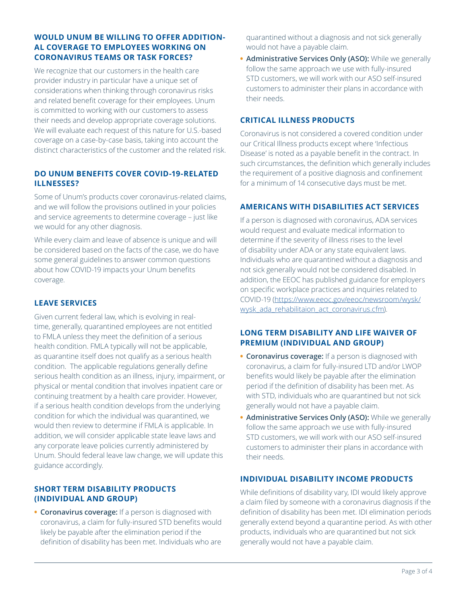### **WOULD UNUM BE WILLING TO OFFER ADDITION-AL COVERAGE TO EMPLOYEES WORKING ON CORONAVIRUS TEAMS OR TASK FORCES?**

We recognize that our customers in the health care provider industry in particular have a unique set of considerations when thinking through coronavirus risks and related benefit coverage for their employees. Unum is committed to working with our customers to assess their needs and develop appropriate coverage solutions. We will evaluate each request of this nature for U.S.-based coverage on a case-by-case basis, taking into account the distinct characteristics of the customer and the related risk.

## **DO UNUM BENEFITS COVER COVID-19-RELATED ILLNESSES?**

Some of Unum's products cover coronavirus-related claims, and we will follow the provisions outlined in your policies and service agreements to determine coverage – just like we would for any other diagnosis.

While every claim and leave of absence is unique and will be considered based on the facts of the case, we do have some general guidelines to answer common questions about how COVID-19 impacts your Unum benefits coverage.

# **LEAVE SERVICES**

Given current federal law, which is evolving in realtime, generally, quarantined employees are not entitled to FMLA unless they meet the definition of a serious health condition. FMLA typically will not be applicable, as quarantine itself does not qualify as a serious health condition. The applicable regulations generally define serious health condition as an illness, injury, impairment, or physical or mental condition that involves inpatient care or continuing treatment by a health care provider. However, if a serious health condition develops from the underlying condition for which the individual was quarantined, we would then review to determine if FMLA is applicable. In addition, we will consider applicable state leave laws and any corporate leave policies currently administered by Unum. Should federal leave law change, we will update this guidance accordingly.

## **SHORT TERM DISABILITY PRODUCTS (INDIVIDUAL AND GROUP)**

**• Coronavirus coverage:** If a person is diagnosed with coronavirus, a claim for fully-insured STD benefits would likely be payable after the elimination period if the definition of disability has been met. Individuals who are

quarantined without a diagnosis and not sick generally would not have a payable claim.

**• Administrative Services Only (ASO):** While we generally follow the same approach we use with fully-insured STD customers, we will work with our ASO self-insured customers to administer their plans in accordance with their needs.

## **CRITICAL ILLNESS PRODUCTS**

Coronavirus is not considered a covered condition under our Critical Illness products except where 'Infectious Disease' is noted as a payable benefit in the contract. In such circumstances, the definition which generally includes the requirement of a positive diagnosis and confinement for a minimum of 14 consecutive days must be met.

## **AMERICANS WITH DISABILITIES ACT SERVICES**

If a person is diagnosed with coronavirus, ADA services would request and evaluate medical information to determine if the severity of illness rises to the level of disability under ADA or any state equivalent laws. Individuals who are quarantined without a diagnosis and not sick generally would not be considered disabled. In addition, the EEOC has published guidance for employers on specific workplace practices and inquiries related to COVID-19 [\(https://www.eeoc.gov/eeoc/newsroom/wysk/](https://www.eeoc.gov/eeoc/newsroom/wysk/wysk_ada_rehabilitaion_act_coronavirus.cfm) [wysk\\_ada\\_rehabilitaion\\_act\\_coronavirus.cfm](https://www.eeoc.gov/eeoc/newsroom/wysk/wysk_ada_rehabilitaion_act_coronavirus.cfm)).

### **LONG TERM DISABILITY AND LIFE WAIVER OF PREMIUM (INDIVIDUAL AND GROUP)**

- **• Coronavirus coverage:** If a person is diagnosed with coronavirus, a claim for fully-insured LTD and/or LWOP benefits would likely be payable after the elimination period if the definition of disability has been met. As with STD, individuals who are quarantined but not sick generally would not have a payable claim.
- **• Administrative Services Only (ASO):** While we generally follow the same approach we use with fully-insured STD customers, we will work with our ASO self-insured customers to administer their plans in accordance with their needs.

## **INDIVIDUAL DISABILITY INCOME PRODUCTS**

While definitions of disability vary, IDI would likely approve a claim filed by someone with a coronavirus diagnosis if the definition of disability has been met. IDI elimination periods generally extend beyond a quarantine period. As with other products, individuals who are quarantined but not sick generally would not have a payable claim.